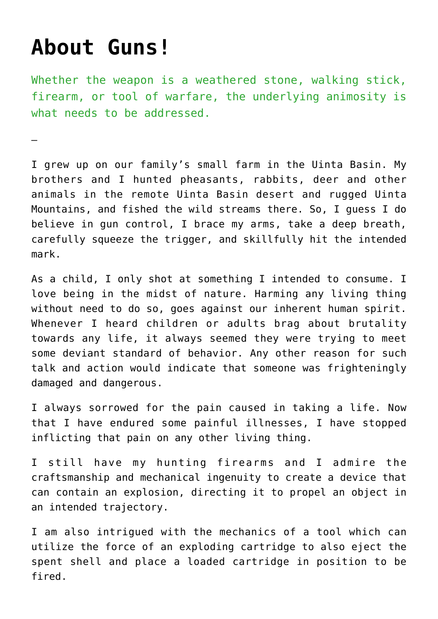## **[About Guns!](https://lairdsenate.us/about-guns/)**

—

Whether the weapon is a weathered stone, walking stick, firearm, or tool of warfare, the underlying animosity is what needs to be addressed.

I grew up on our family's small farm in the Uinta Basin. My brothers and I hunted pheasants, rabbits, deer and other animals in the remote Uinta Basin desert and rugged Uinta Mountains, and fished the wild streams there. So, I guess I do believe in gun control, I brace my arms, take a deep breath, carefully squeeze the trigger, and skillfully hit the intended mark.

As a child, I only shot at something I intended to consume. I love being in the midst of nature. Harming any living thing without need to do so, goes against our inherent human spirit. Whenever I heard children or adults brag about brutality towards any life, it always seemed they were trying to meet some deviant standard of behavior. Any other reason for such talk and action would indicate that someone was frighteningly damaged and dangerous.

I always sorrowed for the pain caused in taking a life. Now that I have endured some painful illnesses, I have stopped inflicting that pain on any other living thing.

I still have my hunting firearms and I admire the craftsmanship and mechanical ingenuity to create a device that can contain an explosion, directing it to propel an object in an intended trajectory.

I am also intrigued with the mechanics of a tool which can utilize the force of an exploding cartridge to also eject the spent shell and place a loaded cartridge in position to be fired.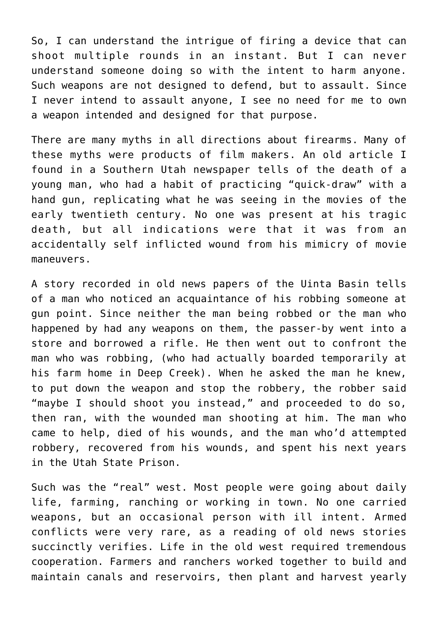So, I can understand the intrigue of firing a device that can shoot multiple rounds in an instant. But I can never understand someone doing so with the intent to harm anyone. Such weapons are not designed to defend, but to assault. Since I never intend to assault anyone, I see no need for me to own a weapon intended and designed for that purpose.

There are many myths in all directions about firearms. Many of these myths were products of film makers. An old article I found in a Southern Utah newspaper tells of the death of a young man, who had a habit of practicing "quick-draw" with a hand gun, replicating what he was seeing in the movies of the early twentieth century. No one was present at his tragic death, but all indications were that it was from an accidentally self inflicted wound from his mimicry of movie maneuvers.

A story recorded in old news papers of the Uinta Basin tells of a man who noticed an acquaintance of his robbing someone at gun point. Since neither the man being robbed or the man who happened by had any weapons on them, the passer-by went into a store and borrowed a rifle. He then went out to confront the man who was robbing, (who had actually boarded temporarily at his farm home in Deep Creek). When he asked the man he knew, to put down the weapon and stop the robbery, the robber said "maybe I should shoot you instead," and proceeded to do so, then ran, with the wounded man shooting at him. The man who came to help, died of his wounds, and the man who'd attempted robbery, recovered from his wounds, and spent his next years in the Utah State Prison.

Such was the "real" west. Most people were going about daily life, farming, ranching or working in town. No one carried weapons, but an occasional person with ill intent. Armed conflicts were very rare, as a reading of old news stories succinctly verifies. Life in the old west required tremendous cooperation. Farmers and ranchers worked together to build and maintain canals and reservoirs, then plant and harvest yearly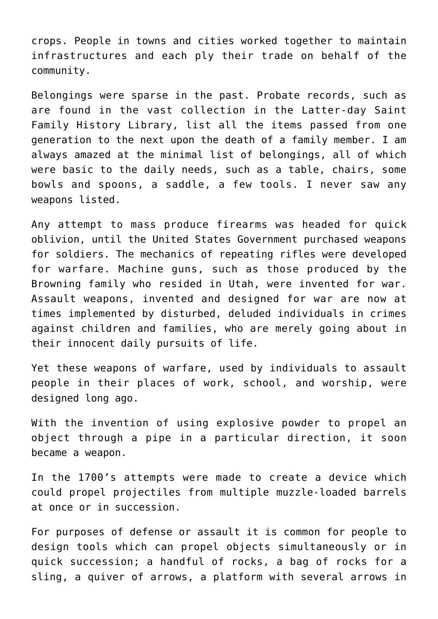crops. People in towns and cities worked together to maintain infrastructures and each ply their trade on behalf of the community.

Belongings were sparse in the past. Probate records, such as are found in the vast collection in the Latter-day Saint Family History Library, list all the items passed from one generation to the next upon the death of a family member. I am always amazed at the minimal list of belongings, all of which were basic to the daily needs, such as a table, chairs, some bowls and spoons, a saddle, a few tools. I never saw any weapons listed.

Any attempt to mass produce firearms was headed for quick oblivion, until the United States Government purchased weapons for soldiers. The mechanics of repeating rifles were developed for warfare. Machine guns, such as those produced by the Browning family who resided in Utah, were invented for war. Assault weapons, invented and designed for war are now at times implemented by disturbed, deluded individuals in crimes against children and families, who are merely going about in their innocent daily pursuits of life.

Yet these weapons of warfare, used by individuals to assault people in their places of work, school, and worship, were designed long ago.

With the invention of using explosive powder to propel an object through a pipe in a particular direction, it soon became a weapon.

In the 1700's attempts were made to create a device which could propel projectiles from multiple muzzle-loaded barrels at once or in succession.

For purposes of defense or assault it is common for people to design tools which can propel objects simultaneously or in quick succession; a handful of rocks, a bag of rocks for a sling, a quiver of arrows, a platform with several arrows in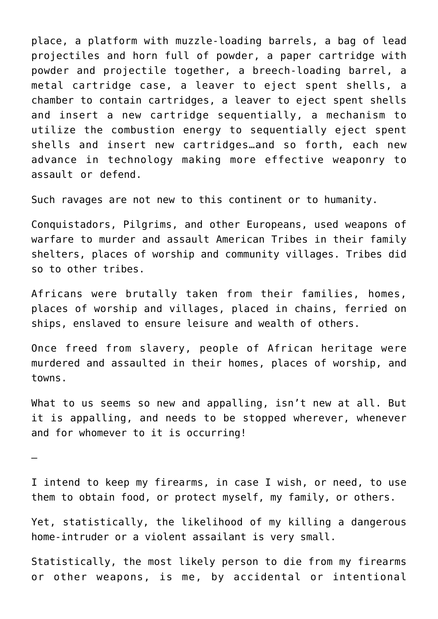place, a platform with muzzle-loading barrels, a bag of lead projectiles and horn full of powder, a paper cartridge with powder and projectile together, a breech-loading barrel, a metal cartridge case, a leaver to eject spent shells, a chamber to contain cartridges, a leaver to eject spent shells and insert a new cartridge sequentially, a mechanism to utilize the combustion energy to sequentially eject spent shells and insert new cartridges…and so forth, each new advance in technology making more effective weaponry to assault or defend.

Such ravages are not new to this continent or to humanity.

Conquistadors, Pilgrims, and other Europeans, used weapons of warfare to murder and assault American Tribes in their family shelters, places of worship and community villages. Tribes did so to other tribes.

Africans were brutally taken from their families, homes, places of worship and villages, placed in chains, ferried on ships, enslaved to ensure leisure and wealth of others.

Once freed from slavery, people of African heritage were murdered and assaulted in their homes, places of worship, and towns.

What to us seems so new and appalling, isn't new at all. But it is appalling, and needs to be stopped wherever, whenever and for whomever to it is occurring!

—

I intend to keep my firearms, in case I wish, or need, to use them to obtain food, or protect myself, my family, or others.

Yet, statistically, the likelihood of my killing a dangerous home-intruder or a violent assailant is very small.

Statistically, the most likely person to die from my firearms or other weapons, is me, by accidental or intentional